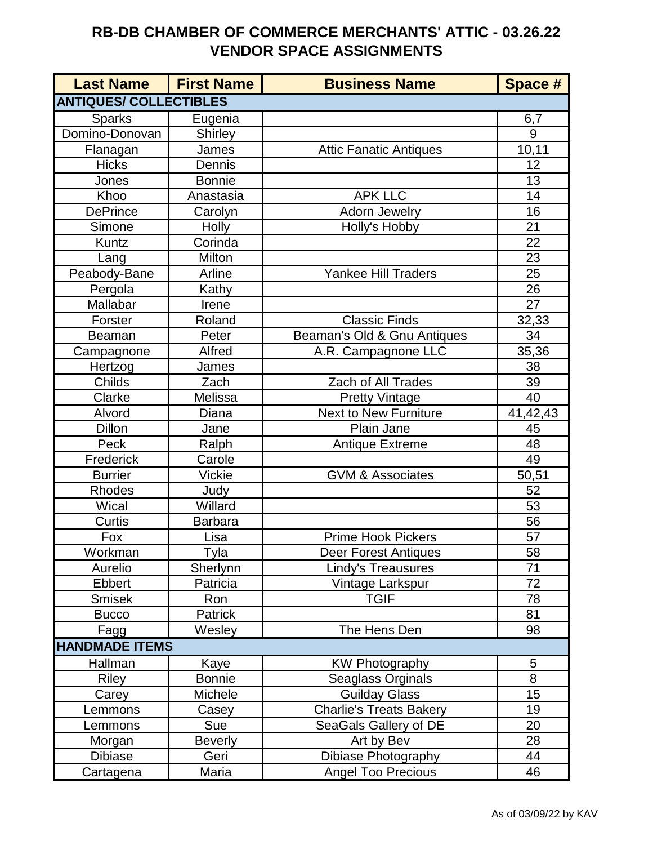## **RB-DB CHAMBER OF COMMERCE MERCHANTS' ATTIC - 03.26.22 VENDOR SPACE ASSIGNMENTS**

| <b>Last Name</b>              | <b>First Name</b> | <b>Business Name</b>          | Space #         |
|-------------------------------|-------------------|-------------------------------|-----------------|
| <b>ANTIQUES/ COLLECTIBLES</b> |                   |                               |                 |
| <b>Sparks</b>                 | Eugenia           |                               | 6,7             |
| Domino-Donovan                | <b>Shirley</b>    |                               | 9               |
| Flanagan                      | James             | <b>Attic Fanatic Antiques</b> | 10,11           |
| <b>Hicks</b>                  | Dennis            |                               | 12              |
| Jones                         | <b>Bonnie</b>     |                               | 13              |
| Khoo                          | Anastasia         | <b>APK LLC</b>                | 14              |
| <b>DePrince</b>               | Carolyn           | <b>Adorn Jewelry</b>          | 16              |
| Simone                        | <b>Holly</b>      | Holly's Hobby                 | 21              |
| Kuntz                         | Corinda           |                               | $\overline{22}$ |
| Lang                          | Milton            |                               | 23              |
| Peabody-Bane                  | Arline            | <b>Yankee Hill Traders</b>    | 25              |
| Pergola                       | Kathy             |                               | 26              |
| Mallabar                      | Irene             |                               | 27              |
| Forster                       | Roland            | <b>Classic Finds</b>          | 32,33           |
| <b>Beaman</b>                 | Peter             | Beaman's Old & Gnu Antiques   | 34              |
| Campagnone                    | Alfred            | A.R. Campagnone LLC           | 35,36           |
| Hertzog                       | James             |                               | 38              |
| Childs                        | Zach              | <b>Zach of All Trades</b>     | 39              |
| Clarke                        | Melissa           | <b>Pretty Vintage</b>         | 40              |
| Alvord                        | Diana             | <b>Next to New Furniture</b>  | 41,42,43        |
| Dillon                        | Jane              | Plain Jane                    | 45              |
| Peck                          | Ralph             | <b>Antique Extreme</b>        | 48              |
| Frederick                     | Carole            |                               | 49              |
| <b>Burrier</b>                | <b>Vickie</b>     | <b>GVM &amp; Associates</b>   | 50,51           |
| Rhodes                        | Judy              |                               | 52              |
| Wical                         | Willard           |                               | 53              |
| Curtis                        | <b>Barbara</b>    |                               | 56              |
| Fox                           | Lisa              | Prime Hook Pickers            | 57              |
| Workman                       | Tyla              | Deer Forest Antiques          | 58              |
| Aurelio                       | Sherlynn          | <b>Lindy's Treausures</b>     | 71              |
| Ebbert                        | Patricia          | Vintage Larkspur              | 72              |
| <b>Smisek</b>                 | Ron               | <b>TGIF</b>                   | 78              |
| <b>Bucco</b>                  | Patrick           |                               | 81              |
| Fagg                          | Wesley            | The Hens Den                  | 98              |
| <b>HANDMADE ITEMS</b>         |                   |                               |                 |
| Hallman                       | Kaye              | <b>KW Photography</b>         | 5               |
| <b>Riley</b>                  | <b>Bonnie</b>     | Seaglass Orginals             | 8               |
| Carey                         | Michele           | <b>Guilday Glass</b>          | 15              |
| Lemmons                       | Casey             | Charlie's Treats Bakery       | 19              |
| Lemmons                       | Sue               | SeaGals Gallery of DE         | 20              |
| Morgan                        | <b>Beverly</b>    | Art by Bev                    | 28              |
| <b>Dibiase</b>                | Geri              | Dibiase Photography           | 44              |
| Cartagena                     | Maria             | <b>Angel Too Precious</b>     | 46              |